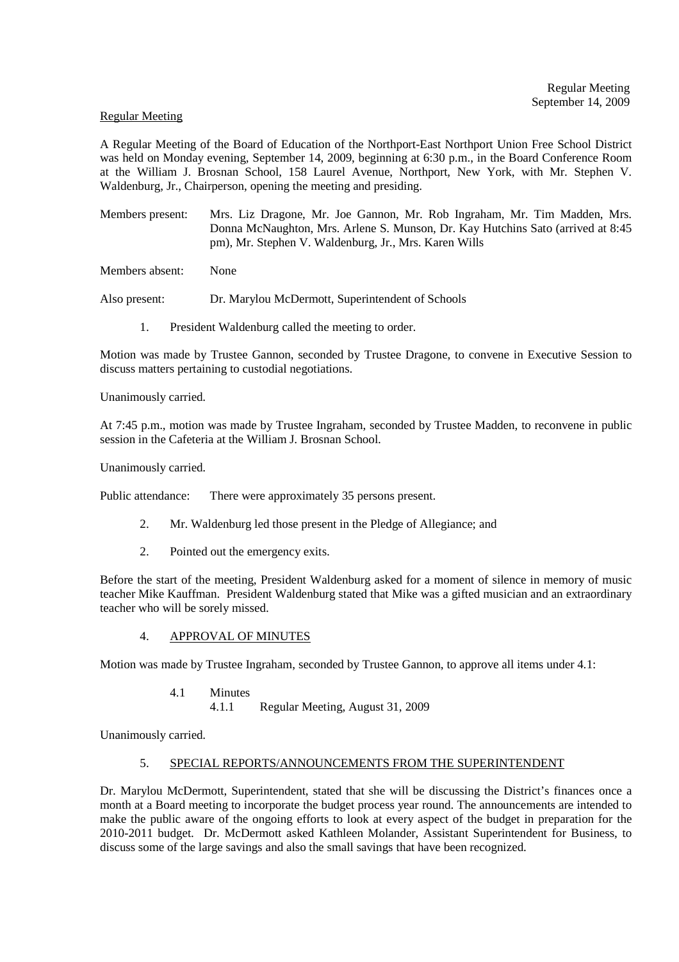#### Regular Meeting

A Regular Meeting of the Board of Education of the Northport-East Northport Union Free School District was held on Monday evening, September 14, 2009, beginning at 6:30 p.m., in the Board Conference Room at the William J. Brosnan School, 158 Laurel Avenue, Northport, New York, with Mr. Stephen V. Waldenburg, Jr., Chairperson, opening the meeting and presiding.

Members present: Mrs. Liz Dragone, Mr. Joe Gannon, Mr. Rob Ingraham, Mr. Tim Madden, Mrs. Donna McNaughton, Mrs. Arlene S. Munson, Dr. Kay Hutchins Sato (arrived at 8:45 pm), Mr. Stephen V. Waldenburg, Jr., Mrs. Karen Wills

Members absent: None

Also present: Dr. Marylou McDermott, Superintendent of Schools

1. President Waldenburg called the meeting to order.

Motion was made by Trustee Gannon, seconded by Trustee Dragone, to convene in Executive Session to discuss matters pertaining to custodial negotiations.

Unanimously carried.

At 7:45 p.m., motion was made by Trustee Ingraham, seconded by Trustee Madden, to reconvene in public session in the Cafeteria at the William J. Brosnan School.

Unanimously carried.

Public attendance: There were approximately 35 persons present.

- 2. Mr. Waldenburg led those present in the Pledge of Allegiance; and
- 2. Pointed out the emergency exits.

Before the start of the meeting, President Waldenburg asked for a moment of silence in memory of music teacher Mike Kauffman. President Waldenburg stated that Mike was a gifted musician and an extraordinary teacher who will be sorely missed.

4. APPROVAL OF MINUTES

Motion was made by Trustee Ingraham, seconded by Trustee Gannon, to approve all items under 4.1:

4.1 Minutes

4.1.1 Regular Meeting, August 31, 2009

Unanimously carried.

#### 5. SPECIAL REPORTS/ANNOUNCEMENTS FROM THE SUPERINTENDENT

Dr. Marylou McDermott, Superintendent, stated that she will be discussing the District's finances once a month at a Board meeting to incorporate the budget process year round. The announcements are intended to make the public aware of the ongoing efforts to look at every aspect of the budget in preparation for the 2010-2011 budget. Dr. McDermott asked Kathleen Molander, Assistant Superintendent for Business, to discuss some of the large savings and also the small savings that have been recognized.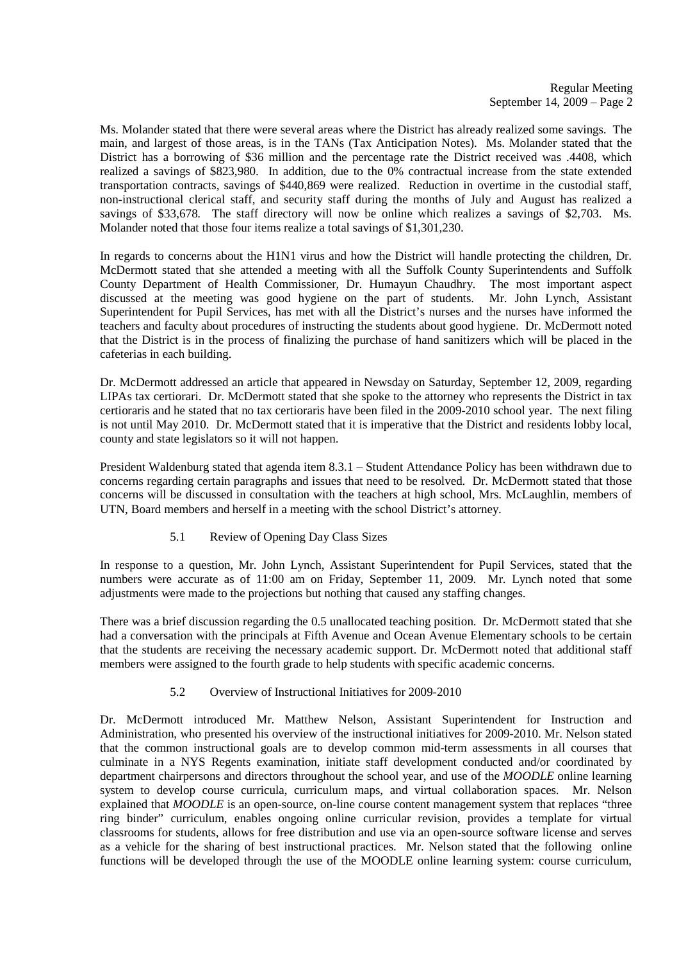Ms. Molander stated that there were several areas where the District has already realized some savings. The main, and largest of those areas, is in the TANs (Tax Anticipation Notes). Ms. Molander stated that the District has a borrowing of \$36 million and the percentage rate the District received was .4408, which realized a savings of \$823,980. In addition, due to the 0% contractual increase from the state extended transportation contracts, savings of \$440,869 were realized. Reduction in overtime in the custodial staff, non-instructional clerical staff, and security staff during the months of July and August has realized a savings of \$33,678. The staff directory will now be online which realizes a savings of \$2,703. Ms. Molander noted that those four items realize a total savings of \$1,301,230.

In regards to concerns about the H1N1 virus and how the District will handle protecting the children, Dr. McDermott stated that she attended a meeting with all the Suffolk County Superintendents and Suffolk County Department of Health Commissioner, Dr. Humayun Chaudhry. The most important aspect discussed at the meeting was good hygiene on the part of students. Mr. John Lynch, Assistant Superintendent for Pupil Services, has met with all the District's nurses and the nurses have informed the teachers and faculty about procedures of instructing the students about good hygiene. Dr. McDermott noted that the District is in the process of finalizing the purchase of hand sanitizers which will be placed in the cafeterias in each building.

Dr. McDermott addressed an article that appeared in Newsday on Saturday, September 12, 2009, regarding LIPAs tax certiorari. Dr. McDermott stated that she spoke to the attorney who represents the District in tax certioraris and he stated that no tax certioraris have been filed in the 2009-2010 school year. The next filing is not until May 2010. Dr. McDermott stated that it is imperative that the District and residents lobby local, county and state legislators so it will not happen.

President Waldenburg stated that agenda item 8.3.1 – Student Attendance Policy has been withdrawn due to concerns regarding certain paragraphs and issues that need to be resolved. Dr. McDermott stated that those concerns will be discussed in consultation with the teachers at high school, Mrs. McLaughlin, members of UTN, Board members and herself in a meeting with the school District's attorney.

# 5.1 Review of Opening Day Class Sizes

In response to a question, Mr. John Lynch, Assistant Superintendent for Pupil Services, stated that the numbers were accurate as of 11:00 am on Friday, September 11, 2009. Mr. Lynch noted that some adjustments were made to the projections but nothing that caused any staffing changes.

There was a brief discussion regarding the 0.5 unallocated teaching position. Dr. McDermott stated that she had a conversation with the principals at Fifth Avenue and Ocean Avenue Elementary schools to be certain that the students are receiving the necessary academic support. Dr. McDermott noted that additional staff members were assigned to the fourth grade to help students with specific academic concerns.

## 5.2 Overview of Instructional Initiatives for 2009-2010

Dr. McDermott introduced Mr. Matthew Nelson, Assistant Superintendent for Instruction and Administration, who presented his overview of the instructional initiatives for 2009-2010. Mr. Nelson stated that the common instructional goals are to develop common mid-term assessments in all courses that culminate in a NYS Regents examination, initiate staff development conducted and/or coordinated by department chairpersons and directors throughout the school year, and use of the *MOODLE* online learning system to develop course curricula, curriculum maps, and virtual collaboration spaces. Mr. Nelson explained that *MOODLE* is an open-source, on-line course content management system that replaces "three ring binder" curriculum, enables ongoing online curricular revision, provides a template for virtual classrooms for students, allows for free distribution and use via an open-source software license and serves as a vehicle for the sharing of best instructional practices. Mr. Nelson stated that the following online functions will be developed through the use of the MOODLE online learning system: course curriculum,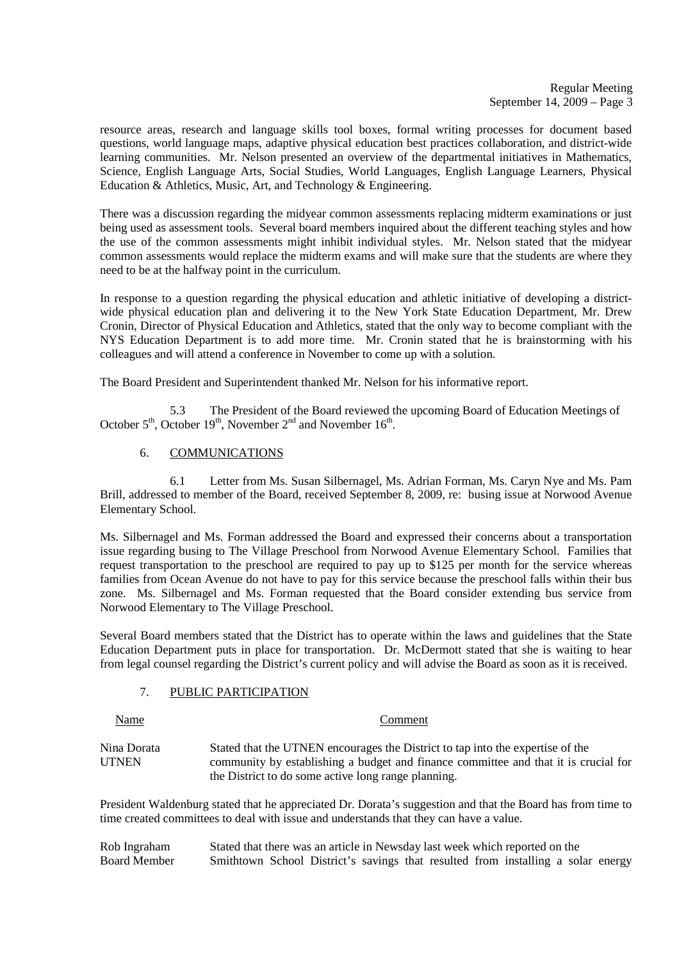resource areas, research and language skills tool boxes, formal writing processes for document based questions, world language maps, adaptive physical education best practices collaboration, and district-wide learning communities. Mr. Nelson presented an overview of the departmental initiatives in Mathematics, Science, English Language Arts, Social Studies, World Languages, English Language Learners, Physical Education & Athletics, Music, Art, and Technology & Engineering.

There was a discussion regarding the midyear common assessments replacing midterm examinations or just being used as assessment tools. Several board members inquired about the different teaching styles and how the use of the common assessments might inhibit individual styles. Mr. Nelson stated that the midyear common assessments would replace the midterm exams and will make sure that the students are where they need to be at the halfway point in the curriculum.

In response to a question regarding the physical education and athletic initiative of developing a districtwide physical education plan and delivering it to the New York State Education Department, Mr. Drew Cronin, Director of Physical Education and Athletics, stated that the only way to become compliant with the NYS Education Department is to add more time. Mr. Cronin stated that he is brainstorming with his colleagues and will attend a conference in November to come up with a solution.

The Board President and Superintendent thanked Mr. Nelson for his informative report.

5.3 The President of the Board reviewed the upcoming Board of Education Meetings of October  $5<sup>th</sup>$ , October 19<sup>th</sup>, November  $2<sup>nd</sup>$  and November 16<sup>th</sup>.

# 6. COMMUNICATIONS

 6.1 Letter from Ms. Susan Silbernagel, Ms. Adrian Forman, Ms. Caryn Nye and Ms. Pam Brill, addressed to member of the Board, received September 8, 2009, re: busing issue at Norwood Avenue Elementary School.

Ms. Silbernagel and Ms. Forman addressed the Board and expressed their concerns about a transportation issue regarding busing to The Village Preschool from Norwood Avenue Elementary School. Families that request transportation to the preschool are required to pay up to \$125 per month for the service whereas families from Ocean Avenue do not have to pay for this service because the preschool falls within their bus zone. Ms. Silbernagel and Ms. Forman requested that the Board consider extending bus service from Norwood Elementary to The Village Preschool.

Several Board members stated that the District has to operate within the laws and guidelines that the State Education Department puts in place for transportation. Dr. McDermott stated that she is waiting to hear from legal counsel regarding the District's current policy and will advise the Board as soon as it is received.

## 7. PUBLIC PARTICIPATION

| Name                        | Comment                                                                                                                                                               |
|-----------------------------|-----------------------------------------------------------------------------------------------------------------------------------------------------------------------|
| Nina Dorata<br><b>UTNEN</b> | Stated that the UTNEN encourages the District to tap into the expertise of the<br>community by establishing a budget and finance committee and that it is crucial for |
|                             | the District to do some active long range planning.                                                                                                                   |

President Waldenburg stated that he appreciated Dr. Dorata's suggestion and that the Board has from time to time created committees to deal with issue and understands that they can have a value.

Rob Ingraham Stated that there was an article in Newsday last week which reported on the Roard Member Smithtown School District's savings that resulted from installing a sol Smithtown School District's savings that resulted from installing a solar energy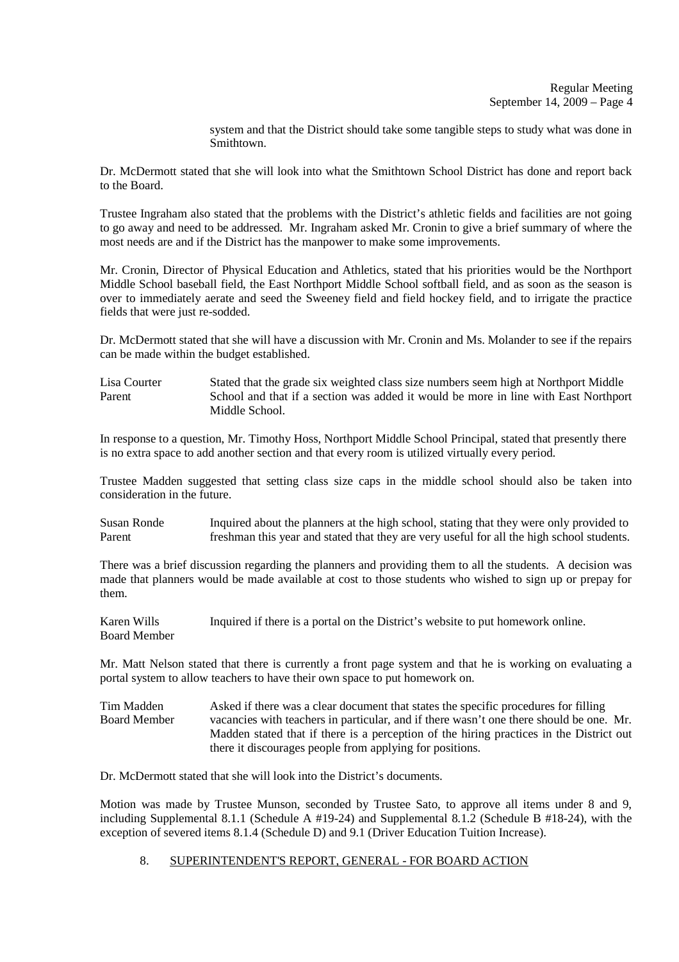system and that the District should take some tangible steps to study what was done in Smithtown.

Dr. McDermott stated that she will look into what the Smithtown School District has done and report back to the Board.

Trustee Ingraham also stated that the problems with the District's athletic fields and facilities are not going to go away and need to be addressed. Mr. Ingraham asked Mr. Cronin to give a brief summary of where the most needs are and if the District has the manpower to make some improvements.

Mr. Cronin, Director of Physical Education and Athletics, stated that his priorities would be the Northport Middle School baseball field, the East Northport Middle School softball field, and as soon as the season is over to immediately aerate and seed the Sweeney field and field hockey field, and to irrigate the practice fields that were just re-sodded.

Dr. McDermott stated that she will have a discussion with Mr. Cronin and Ms. Molander to see if the repairs can be made within the budget established.

Lisa Courter Stated that the grade six weighted class size numbers seem high at Northport Middle Parent School and that if a section was added it would be more in line with East Northport Middle School.

In response to a question, Mr. Timothy Hoss, Northport Middle School Principal, stated that presently there is no extra space to add another section and that every room is utilized virtually every period.

Trustee Madden suggested that setting class size caps in the middle school should also be taken into consideration in the future.

Susan Ronde Inquired about the planners at the high school, stating that they were only provided to Parent freshman this year and stated that they are very useful for all the high school students.

There was a brief discussion regarding the planners and providing them to all the students. A decision was made that planners would be made available at cost to those students who wished to sign up or prepay for them.

Karen Wills Inquired if there is a portal on the District's website to put homework online. Board Member

Mr. Matt Nelson stated that there is currently a front page system and that he is working on evaluating a portal system to allow teachers to have their own space to put homework on.

Tim Madden Asked if there was a clear document that states the specific procedures for filling<br>Board Member vacancies with teachers in particular and if there wasn't one there should be one vacancies with teachers in particular, and if there wasn't one there should be one. Mr. Madden stated that if there is a perception of the hiring practices in the District out there it discourages people from applying for positions.

Dr. McDermott stated that she will look into the District's documents.

Motion was made by Trustee Munson, seconded by Trustee Sato, to approve all items under 8 and 9, including Supplemental 8.1.1 (Schedule A #19-24) and Supplemental 8.1.2 (Schedule B #18-24), with the exception of severed items 8.1.4 (Schedule D) and 9.1 (Driver Education Tuition Increase).

## 8. SUPERINTENDENT'S REPORT, GENERAL - FOR BOARD ACTION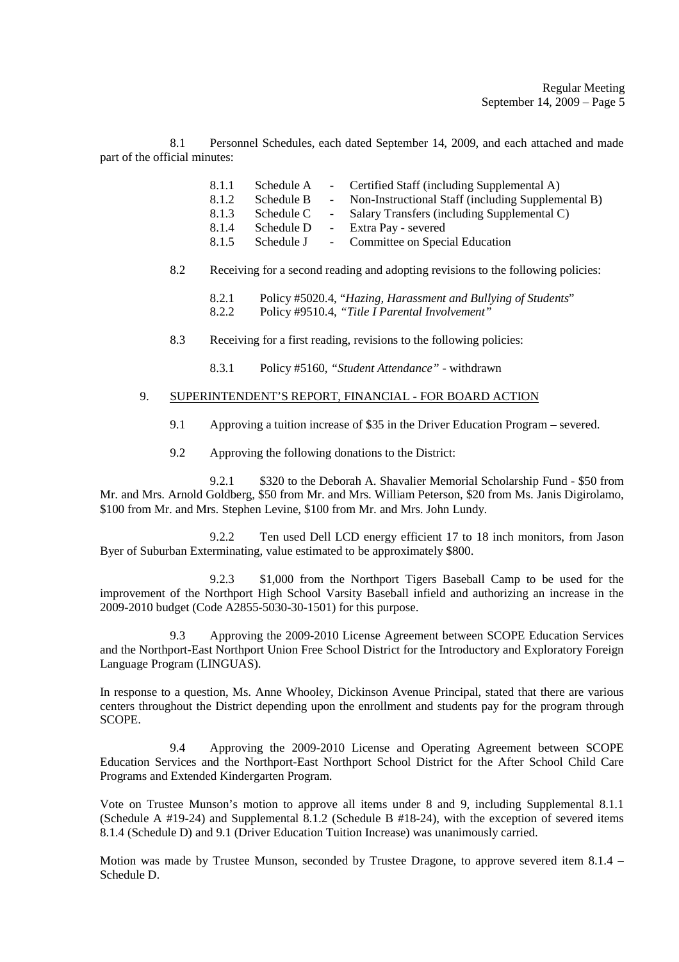8.1 Personnel Schedules, each dated September 14, 2009, and each attached and made part of the official minutes:

- 8.1.1 Schedule A Certified Staff (including Supplemental A)
- 8.1.2 Schedule B Non-Instructional Staff (including Supplemental B)
- 8.1.3 Schedule C Salary Transfers (including Supplemental C)
- 8.1.4 Schedule D Extra Pay severed
- 8.1.5 Schedule J Committee on Special Education
- 8.2 Receiving for a second reading and adopting revisions to the following policies:
	- 8.2.1 Policy #5020.4, "*Hazing, Harassment and Bullying of Students*" 8.2.2 Policy #9510.4, *"Title I Parental Involvement"*
- 8.3 Receiving for a first reading, revisions to the following policies:
	- 8.3.1 Policy #5160, *"Student Attendance"* withdrawn

### 9. SUPERINTENDENT'S REPORT, FINANCIAL - FOR BOARD ACTION

- 9.1 Approving a tuition increase of \$35 in the Driver Education Program severed.
- 9.2 Approving the following donations to the District:

 9.2.1 \$320 to the Deborah A. Shavalier Memorial Scholarship Fund - \$50 from Mr. and Mrs. Arnold Goldberg, \$50 from Mr. and Mrs. William Peterson, \$20 from Ms. Janis Digirolamo, \$100 from Mr. and Mrs. Stephen Levine, \$100 from Mr. and Mrs. John Lundy.

 9.2.2 Ten used Dell LCD energy efficient 17 to 18 inch monitors, from Jason Byer of Suburban Exterminating, value estimated to be approximately \$800.

 9.2.3 \$1,000 from the Northport Tigers Baseball Camp to be used for the improvement of the Northport High School Varsity Baseball infield and authorizing an increase in the 2009-2010 budget (Code A2855-5030-30-1501) for this purpose.

 9.3 Approving the 2009-2010 License Agreement between SCOPE Education Services and the Northport-East Northport Union Free School District for the Introductory and Exploratory Foreign Language Program (LINGUAS).

In response to a question, Ms. Anne Whooley, Dickinson Avenue Principal, stated that there are various centers throughout the District depending upon the enrollment and students pay for the program through SCOPE.

 9.4 Approving the 2009-2010 License and Operating Agreement between SCOPE Education Services and the Northport-East Northport School District for the After School Child Care Programs and Extended Kindergarten Program.

Vote on Trustee Munson's motion to approve all items under 8 and 9, including Supplemental 8.1.1 (Schedule A #19-24) and Supplemental 8.1.2 (Schedule B #18-24), with the exception of severed items 8.1.4 (Schedule D) and 9.1 (Driver Education Tuition Increase) was unanimously carried.

Motion was made by Trustee Munson, seconded by Trustee Dragone, to approve severed item 8.1.4 – Schedule D.